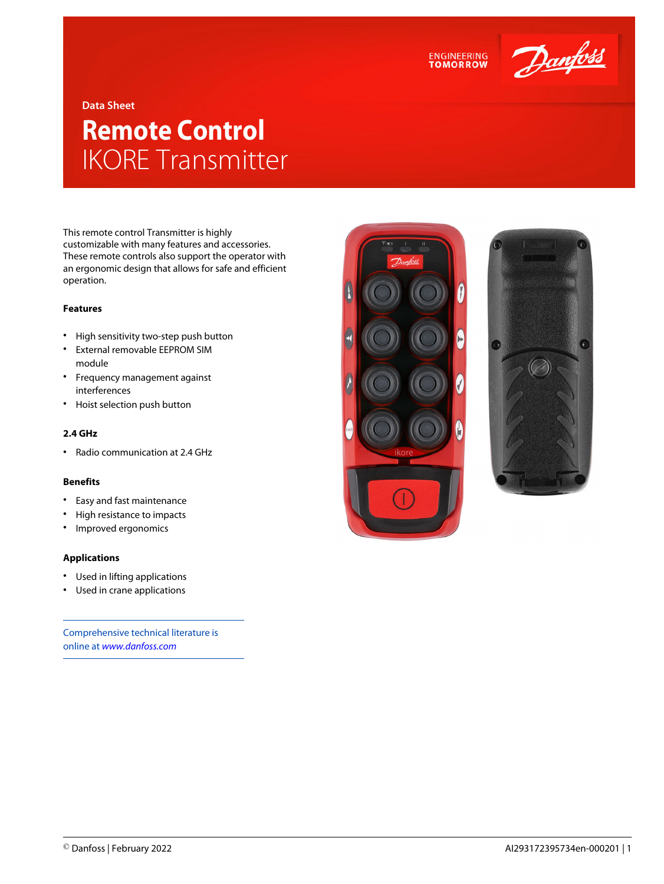



## **Data Sheet**

# **Remote Control** IKORE Transmitter

This remote control Transmitter is highly customizable with many features and accessories. These remote controls also support the operator with an ergonomic design that allows for safe and efficient operation.

# **Features**

- High sensitivity two-step push button
- External removable EEPROM SIM module
- Frequency management against interferences
- Hoist selection push button

#### **2.4 GHz**

• Radio communication at 2.4 GHz

#### **Benefits**

- Easy and fast maintenance
- High resistance to impacts
- Improved ergonomics

## **Applications**

- Used in lifting applications
- Used in crane applications

Comprehensive technical literature is online at *[www.danfoss.com](https://www.danfoss.com/en/search/?filter=type%3Adocumentation%2Csegment%3Adps)*